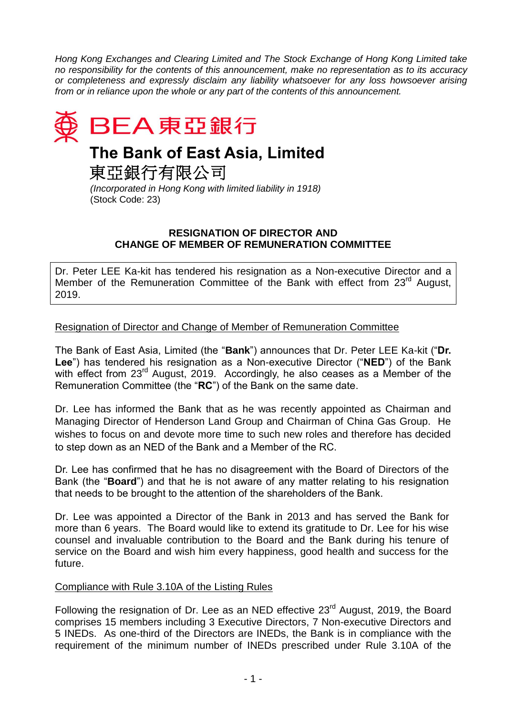*Hong Kong Exchanges and Clearing Limited and The Stock Exchange of Hong Kong Limited take no responsibility for the contents of this announcement, make no representation as to its accuracy or completeness and expressly disclaim any liability whatsoever for any loss howsoever arising from or in reliance upon the whole or any part of the contents of this announcement.*



## **The Bank of East Asia, Limited**

東亞銀行有限公司

*(Incorporated in Hong Kong with limited liability in 1918)* (Stock Code: 23)

## **RESIGNATION OF DIRECTOR AND CHANGE OF MEMBER OF REMUNERATION COMMITTEE**

Dr. Peter LEE Ka-kit has tendered his resignation as a Non-executive Director and a Member of the Remuneration Committee of the Bank with effect from 23<sup>rd</sup> August, 2019.

## Resignation of Director and Change of Member of Remuneration Committee

The Bank of East Asia, Limited (the "**Bank**") announces that Dr. Peter LEE Ka-kit ("**Dr. Lee**") has tendered his resignation as a Non-executive Director ("**NED**") of the Bank with effect from 23<sup>rd</sup> August, 2019. Accordingly, he also ceases as a Member of the Remuneration Committee (the "**RC**") of the Bank on the same date.

Dr. Lee has informed the Bank that as he was recently appointed as Chairman and Managing Director of Henderson Land Group and Chairman of China Gas Group. He wishes to focus on and devote more time to such new roles and therefore has decided to step down as an NED of the Bank and a Member of the RC.

Dr. Lee has confirmed that he has no disagreement with the Board of Directors of the Bank (the "**Board**") and that he is not aware of any matter relating to his resignation that needs to be brought to the attention of the shareholders of the Bank.

Dr. Lee was appointed a Director of the Bank in 2013 and has served the Bank for more than 6 years. The Board would like to extend its gratitude to Dr. Lee for his wise counsel and invaluable contribution to the Board and the Bank during his tenure of service on the Board and wish him every happiness, good health and success for the future.

## Compliance with Rule 3.10A of the Listing Rules

Following the resignation of Dr. Lee as an NED effective 23<sup>rd</sup> August, 2019, the Board comprises 15 members including 3 Executive Directors, 7 Non-executive Directors and 5 INEDs. As one-third of the Directors are INEDs, the Bank is in compliance with the requirement of the minimum number of INEDs prescribed under Rule 3.10A of the